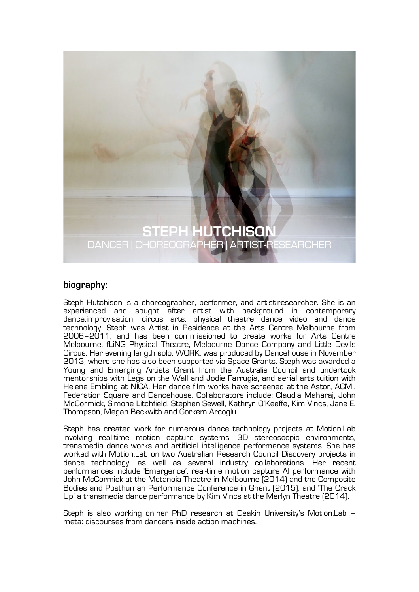

## **biography:**

Steph Hutchison is a choreographer, performer, and artist-researcher. She is an experienced and sought after artist with background in contemporary dance,improvisation, circus arts, physical theatre dance video and dance technology. Steph was Artist in Residence at the Arts Centre Melbourne from 2006–2011, and has been commissioned to create works for Arts Centre Melbourne, fLiNG Physical Theatre, Melbourne Dance Company and Little Devils Circus. Her evening length solo, WORK, was produced by Dancehouse in November 2013, where she has also been supported via Space Grants. Steph was awarded a Young and Emerging Artists Grant from the Australia Council and undertook mentorships with Legs on the Wall and Jodie Farrugia, and aerial arts tuition with Helene Embling at NICA. Her dance film works have screened at the Astor, ACMI, Federation Square and Dancehouse. Collaborators include: Claudia Maharaj, John McCormick, Simone Litchfield, Stephen Sewell, Kathryn O'Keeffe, Kim Vincs, Jane E. Thompson, Megan Beckwith and Gorkem Arcoglu.

Steph has created work for numerous dance technology projects at Motion.Lab involving real-time motion capture systems, 3D stereoscopic environments, transmedia dance works and artificial intelligence performance systems. She has worked with Motion.Lab on two Australian Research Council Discovery projects in dance technology, as well as several industry collaborations. Her recent performances include 'Emergence', real-time motion capture AI performance with John McCormick at the Metanoia Theatre in Melbourne (2014) and the Composite Bodies and Posthuman Performance Conference in Ghent (2015), and 'The Crack Up' a transmedia dance performance by Kim Vincs at the Merlyn Theatre (2014).

Steph is also working on her PhD research at Deakin University's Motion.Lab – meta: discourses from dancers inside action machines.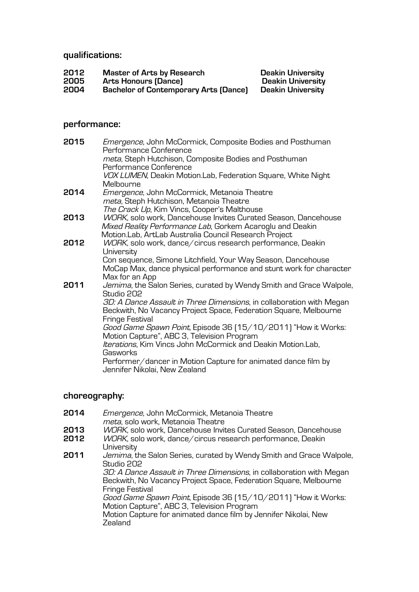**qualifications:**

| 2012 | <b>Master of Arts by Research</b>            | <b>Deakin University</b> |
|------|----------------------------------------------|--------------------------|
| 2005 | Arts Honours (Dance)                         | <b>Deakin University</b> |
| 2004 | <b>Bachelor of Contemporary Arts (Dance)</b> | Deakin University        |

# **performance:**

| 2015 | <i>Emergence</i> , John McCormick, Composite Bodies and Posthuman<br>Performance Conference    |
|------|------------------------------------------------------------------------------------------------|
|      | meta, Steph Hutchison, Composite Bodies and Posthuman                                          |
|      | Performance Conference                                                                         |
|      | VOX LUMEN, Deakin Motion.Lab, Federation Square, White Night                                   |
|      | Melbourne                                                                                      |
| 2014 | Emergence, John McCormick, Metanoia Theatre                                                    |
|      | meta, Steph Hutchison, Metanoia Theatre                                                        |
|      | The Crack Up, Kim Vincs, Cooper's Malthouse                                                    |
| 2013 | WORK, solo work, Dancehouse Invites Curated Season, Dancehouse                                 |
|      | Mixed Reality Performance Lab, Gorkem Acaroglu and Deakin                                      |
|      | Motion.Lab, ArtLab Australia Council Research Project                                          |
| 2012 | WORK, solo work, dance/circus research performance, Deakin<br>University                       |
|      | Con sequence, Simone Litchfield, Your Way Season, Dancehouse                                   |
|      | MoCap Max, dance physical performance and stunt work for character                             |
|      | Max for an App                                                                                 |
| 2011 | Jemima, the Salon Series, curated by Wendy Smith and Grace Walpole,                            |
|      | Studio 202                                                                                     |
|      | 3D: A Dance Assault in Three Dimensions, in collaboration with Megan                           |
|      | Beckwith, No Vacancy Project Space, Federation Square, Melbourne                               |
|      | Fringe Festival                                                                                |
|      | Good Game Spawn Point, Episode 36 [15/10/2011] "How it Works:                                  |
|      | Motion Capture", ABC 3, Television Program                                                     |
|      | Iterations, Kim Vincs John McCormick and Deakin Motion.Lab,                                    |
|      | Gasworks                                                                                       |
|      | Performer/dancer in Motion Capture for animated dance film by<br>Jennifer Nikolai, New Zealand |
|      |                                                                                                |

# **choreography:**

| 2014         | Emergence, John McCormick, Metanoia Theatre<br>meta, solo work, Metanoia Theatre                                                                            |
|--------------|-------------------------------------------------------------------------------------------------------------------------------------------------------------|
| 2013<br>2012 | WORK, solo work, Dancehouse Invites Curated Season, Dancehouse<br>WORK, solo work, dance/circus research performance, Deakin<br>University                  |
| 2011         | Jemima, the Salon Series, curated by Wendy Smith and Grace Walpole,<br>Studio 202                                                                           |
|              | 3D: A Dance Assault in Three Dimensions, in collaboration with Megan<br>Beckwith, No Vacancy Project Space, Federation Square, Melbourne<br>Fringe Festival |
|              | Good Game Spawn Point, Episode 36 [15/10/2011] "How it Works:<br>Motion Capture", ABC 3, Television Program                                                 |
|              | Motion Capture for animated dance film by Jennifer Nikolai, New<br>Zealand                                                                                  |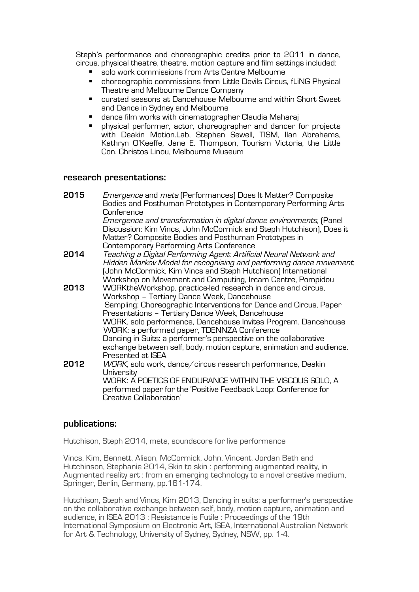Steph's performance and choreographic credits prior to 2011 in dance, circus, physical theatre, theatre, motion capture and film settings included:

- solo work commissions from Arts Centre Melbourne
- choreographic commissions from Little Devils Circus, fLiNG Physical Theatre and Melbourne Dance Company
- § curated seasons at Dancehouse Melbourne and within Short Sweet and Dance in Sydney and Melbourne
- dance film works with cinematographer Claudia Maharaj
- § physical performer, actor, choreographer and dancer for projects with Deakin Motion.Lab, Stephen Sewell, TISM, Ilan Abrahams, Kathryn O'Keeffe, Jane E. Thompson, Tourism Victoria, the Little Con, Christos Linou, Melbourne Museum

### **research presentations:**

| 2015 | <i>Emergence</i> and <i>meta</i> (Performances) Does It Matter? Composite<br>Bodies and Posthuman Prototypes in Contemporary Performing Arts<br>Conference                                                                                                                                                                                                                                                                                                                                     |
|------|------------------------------------------------------------------------------------------------------------------------------------------------------------------------------------------------------------------------------------------------------------------------------------------------------------------------------------------------------------------------------------------------------------------------------------------------------------------------------------------------|
|      | Emergence and transformation in digital dance environments, [Panel<br>Discussion: Kim Vincs, John McCormick and Steph Hutchison), Does it<br>Matter? Composite Bodies and Posthuman Prototypes in                                                                                                                                                                                                                                                                                              |
| 2014 | Contemporary Performing Arts Conference<br>Teaching a Digital Performing Agent: Artificial Neural Network and<br>Hidden Markov Model for recognising and performing dance movement,<br>(John McCormick, Kim Vincs and Steph Hutchison) International<br>Workshop on Movement and Computing, Ircam Centre, Pompidou                                                                                                                                                                             |
| 2013 | WORKtheWorkshop, practice-led research in dance and circus,<br>Workshop - Tertiary Dance Week, Dancehouse<br>Sampling: Choreographic Interventions for Dance and Circus, Paper<br>Presentations - Tertiary Dance Week, Dancehouse<br>WORK, solo performance, Dancehouse Invites Program, Dancehouse<br>WORK: a performed paper, TDENNZA Conference<br>Dancing in Suits: a performer's perspective on the collaborative<br>exchange between self, body, motion capture, animation and audience. |
| 2012 | Presented at ISEA<br>WORK, solo work, dance/circus research performance, Deakin<br>University<br>WORK: A POETICS OF ENDURANCE WITHIN THE VISCOUS SOLO, A<br>performed paper for the 'Positive Feedback Loop: Conference for<br>Creative Collaboration'                                                                                                                                                                                                                                         |

#### **publications:**

Hutchison, Steph 2014, meta, soundscore for live performance

Vincs, Kim, Bennett, Alison, McCormick, John, Vincent, Jordan Beth and Hutchinson, Stephanie 2014, Skin to skin : performing augmented reality, in Augmented reality art : from an emerging technology to a novel creative medium, Springer, Berlin, Germany, pp.161-174.

Hutchison, Steph and Vincs, Kim 2013, Dancing in suits: a performer's perspective on the collaborative exchange between self, body, motion capture, animation and audience, in ISEA 2013 : Resistance is Futile : Proceedings of the 19th International Symposium on Electronic Art, ISEA, International Australian Network for Art & Technology, University of Sydney, Sydney, NSW, pp. 1-4.